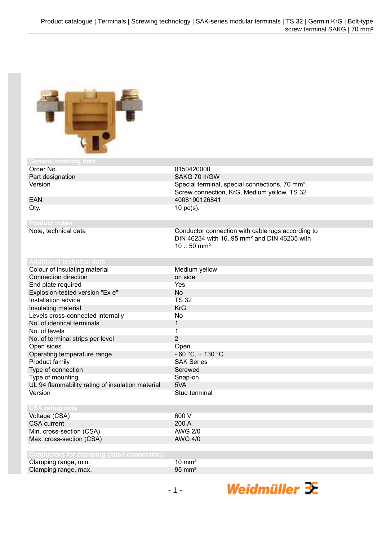

| <b>General ordering data</b>                      |                                                             |
|---------------------------------------------------|-------------------------------------------------------------|
| Order No.                                         | 0150420000                                                  |
| Part designation                                  | SAKG 70 II/GW                                               |
| Version                                           | Special terminal, special connections, 70 mm <sup>2</sup> , |
|                                                   | Screw connection, KrG, Medium yellow, TS 32                 |
| <b>EAN</b>                                        | 4008190126841                                               |
| Qty.                                              | $10$ pc(s).                                                 |
|                                                   |                                                             |
| <b>Product notes</b>                              |                                                             |
| Note, technical data                              | Conductor connection with cable lugs according to           |
|                                                   | DIN 46234 with 16.95 mm <sup>2</sup> and DIN 46235 with     |
|                                                   | $1050$ mm <sup>2</sup>                                      |
|                                                   |                                                             |
| <b>Additional technical data</b>                  |                                                             |
| Colour of insulating material                     | Medium yellow                                               |
| Connection direction                              | on side                                                     |
| End plate required                                | Yes                                                         |
| Explosion-tested version "Ex e"                   | <b>No</b>                                                   |
| Installation advice                               | <b>TS 32</b>                                                |
| Insulating material                               | <b>KrG</b>                                                  |
| Levels cross-connected internally                 | <b>No</b>                                                   |
| No. of identical terminals                        | 1                                                           |
| No. of levels                                     | $\mathbf{1}$                                                |
| No. of terminal strips per level                  | $\overline{2}$                                              |
| Open sides                                        | Open                                                        |
| Operating temperature range                       | $-60 °C$ , + 130 °C                                         |
| Product family                                    | <b>SAK Series</b>                                           |
| Type of connection                                | Screwed                                                     |
| Type of mounting                                  | Snap-on                                                     |
| UL 94 flammability rating of insulation material  | 5VA                                                         |
| Version                                           | Stud terminal                                               |
|                                                   |                                                             |
| <b>CSA rating data</b>                            |                                                             |
| Voltage (CSA)                                     | 600 V                                                       |
| <b>CSA</b> current                                | 200 A                                                       |
| Min. cross-section (CSA)                          | <b>AWG 2/0</b>                                              |
| Max. cross-section (CSA)                          | <b>AWG 4/0</b>                                              |
|                                                   |                                                             |
| <b>Conductors for clamping (rated connection)</b> |                                                             |

| <u>Foundactors for cramping</u> (rated connection) |                   |
|----------------------------------------------------|-------------------|
| Clamping range, min.                               | $10 \text{ mm}^2$ |
| Clamping range, max.                               | $95 \text{ mm}^2$ |
|                                                    |                   |

Weidmüller 3E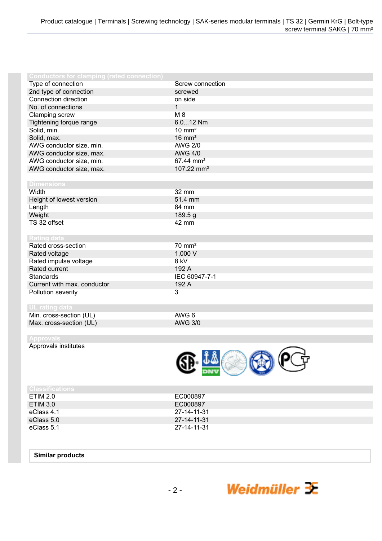| <b>Conductors for clamping (rated connection)</b> |                        |
|---------------------------------------------------|------------------------|
| Type of connection                                | Screw connection       |
| 2nd type of connection                            | screwed                |
| Connection direction                              | on side                |
| No. of connections                                | $\mathbf{1}$           |
| Clamping screw                                    | M 8                    |
| Tightening torque range                           | 6.012 Nm               |
| Solid, min.                                       | $10 \text{ mm}^2$      |
| Solid, max.                                       | $16 \text{ mm}^2$      |
| AWG conductor size, min.                          | <b>AWG 2/0</b>         |
|                                                   | <b>AWG 4/0</b>         |
| AWG conductor size, max.                          | 67.44 mm <sup>2</sup>  |
| AWG conductor size, min.                          |                        |
| AWG conductor size, max.                          | 107.22 mm <sup>2</sup> |
|                                                   |                        |
| <b>Dimensions</b>                                 |                        |
| Width                                             | 32 mm                  |
| Height of lowest version                          | 51.4 mm                |
| Length                                            | 84 mm                  |
| Weight                                            | 189.5 g                |
| TS 32 offset                                      | 42 mm                  |
|                                                   |                        |
| <b>Rating data</b>                                |                        |
| Rated cross-section                               | $70 \text{ mm}^2$      |
| Rated voltage                                     | 1,000 V                |
| Rated impulse voltage                             | 8 kV                   |
| Rated current                                     | 192 A                  |
| <b>Standards</b>                                  | IEC 60947-7-1          |
| Current with max. conductor                       | 192 A                  |
| Pollution severity                                | 3                      |
|                                                   |                        |
| <b>UL rating data</b>                             |                        |
| Min. cross-section (UL)                           | AWG 6                  |
| Max. cross-section (UL)                           | <b>AWG 3/0</b>         |
|                                                   |                        |
| <b>Approvals</b>                                  |                        |

Approvals institutes



Weidmüller  $\mathbf{\mathcal{F}}$ 

| <b>Classifications</b> |             |
|------------------------|-------------|
| ETIM 2.0               | EC000897    |
| <b>ETIM 3.0</b>        | EC000897    |
| eClass 4.1             | 27-14-11-31 |
| eClass 5.0             | 27-14-11-31 |
| eClass 5.1             | 27-14-11-31 |

## **Similar products**